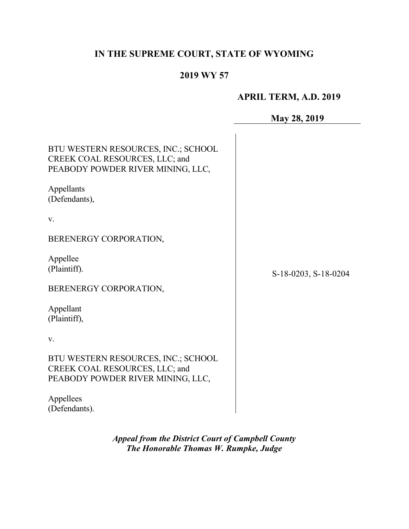# IN THE SUPREME COURT, STATE OF WYOMING

# 2019 WY 57

# APRIL TERM, A.D. 2019

May 28, 2019

| BTU WESTERN RESOURCES, INC.; SCHOOL<br>CREEK COAL RESOURCES, LLC; and<br>PEABODY POWDER RIVER MINING, LLC, |                      |
|------------------------------------------------------------------------------------------------------------|----------------------|
| Appellants<br>(Defendants),                                                                                |                      |
| V.                                                                                                         |                      |
| BERENERGY CORPORATION,                                                                                     |                      |
| Appellee<br>(Plaintiff).                                                                                   | S-18-0203, S-18-0204 |
| BERENERGY CORPORATION,                                                                                     |                      |
| Appellant<br>(Plaintiff),                                                                                  |                      |
| V.                                                                                                         |                      |
| BTU WESTERN RESOURCES, INC.; SCHOOL<br>CREEK COAL RESOURCES, LLC; and<br>PEABODY POWDER RIVER MINING, LLC, |                      |
| Appellees<br>(Defendants).                                                                                 |                      |

Appeal from the District Court of Campbell County The Honorable Thomas W. Rumpke, Judge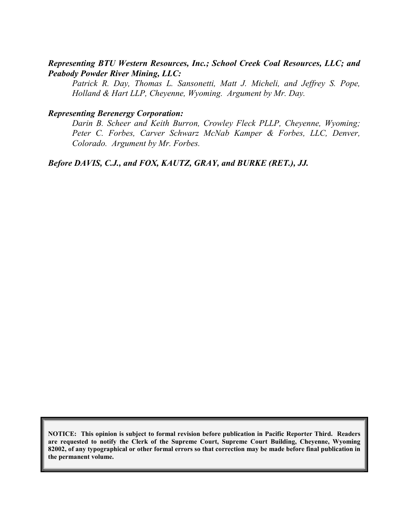## Representing BTU Western Resources, Inc.; School Creek Coal Resources, LLC; and Peabody Powder River Mining, LLC:

Patrick R. Day, Thomas L. Sansonetti, Matt J. Micheli, and Jeffrey S. Pope, Holland & Hart LLP, Cheyenne, Wyoming. Argument by Mr. Day.

#### Representing Berenergy Corporation:

Darin B. Scheer and Keith Burron, Crowley Fleck PLLP, Cheyenne, Wyoming; Peter C. Forbes, Carver Schwarz McNab Kamper & Forbes, LLC, Denver, Colorado. Argument by Mr. Forbes.

Before DAVIS, C.J., and FOX, KAUTZ, GRAY, and BURKE (RET.), JJ.

NOTICE: This opinion is subject to formal revision before publication in Pacific Reporter Third. Readers are requested to notify the Clerk of the Supreme Court, Supreme Court Building, Cheyenne, Wyoming 82002, of any typographical or other formal errors so that correction may be made before final publication in the permanent volume.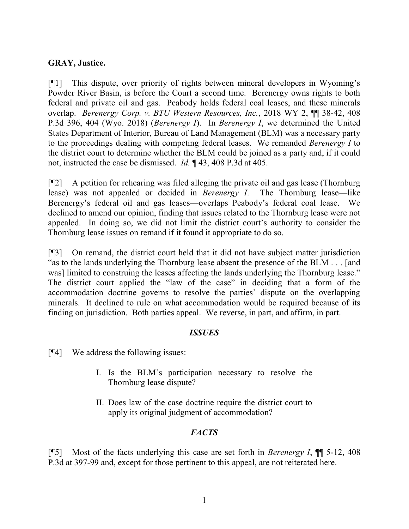### GRAY, Justice.

[¶1] This dispute, over priority of rights between mineral developers in Wyoming's Powder River Basin, is before the Court a second time. Berenergy owns rights to both federal and private oil and gas. Peabody holds federal coal leases, and these minerals overlap. Berenergy Corp. v. BTU Western Resources, Inc., 2018 WY 2, ¶¶ 38-42, 408 P.3d 396, 404 (Wyo. 2018) (*Berenergy I*). In *Berenergy I*, we determined the United States Department of Interior, Bureau of Land Management (BLM) was a necessary party to the proceedings dealing with competing federal leases. We remanded Berenergy I to the district court to determine whether the BLM could be joined as a party and, if it could not, instructed the case be dismissed. Id. ¶ 43, 408 P.3d at 405.

[¶2] A petition for rehearing was filed alleging the private oil and gas lease (Thornburg lease) was not appealed or decided in Berenergy I. The Thornburg lease—like Berenergy's federal oil and gas leases—overlaps Peabody's federal coal lease. We declined to amend our opinion, finding that issues related to the Thornburg lease were not appealed. In doing so, we did not limit the district court's authority to consider the Thornburg lease issues on remand if it found it appropriate to do so.

[¶3] On remand, the district court held that it did not have subject matter jurisdiction "as to the lands underlying the Thornburg lease absent the presence of the BLM . . . [and was] limited to construing the leases affecting the lands underlying the Thornburg lease." The district court applied the "law of the case" in deciding that a form of the accommodation doctrine governs to resolve the parties' dispute on the overlapping minerals. It declined to rule on what accommodation would be required because of its finding on jurisdiction. Both parties appeal. We reverse, in part, and affirm, in part.

### **ISSUES**

[¶4] We address the following issues:

- I. Is the BLM's participation necessary to resolve the Thornburg lease dispute?
- II. Does law of the case doctrine require the district court to apply its original judgment of accommodation?

### **FACTS**

[ $\llbracket$ 5] Most of the facts underlying this case are set forth in *Berenergy I*,  $\llbracket \llbracket$  5-12, 408 P.3d at 397-99 and, except for those pertinent to this appeal, are not reiterated here.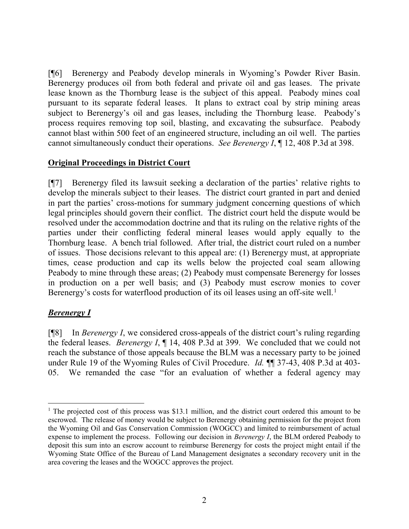[¶6] Berenergy and Peabody develop minerals in Wyoming's Powder River Basin. Berenergy produces oil from both federal and private oil and gas leases. The private lease known as the Thornburg lease is the subject of this appeal. Peabody mines coal pursuant to its separate federal leases. It plans to extract coal by strip mining areas subject to Berenergy's oil and gas leases, including the Thornburg lease. Peabody's process requires removing top soil, blasting, and excavating the subsurface. Peabody cannot blast within 500 feet of an engineered structure, including an oil well. The parties cannot simultaneously conduct their operations. See Berenergy I, ¶ 12, 408 P.3d at 398.

#### Original Proceedings in District Court

[¶7] Berenergy filed its lawsuit seeking a declaration of the parties' relative rights to develop the minerals subject to their leases. The district court granted in part and denied in part the parties' cross-motions for summary judgment concerning questions of which legal principles should govern their conflict. The district court held the dispute would be resolved under the accommodation doctrine and that its ruling on the relative rights of the parties under their conflicting federal mineral leases would apply equally to the Thornburg lease. A bench trial followed. After trial, the district court ruled on a number of issues. Those decisions relevant to this appeal are: (1) Berenergy must, at appropriate times, cease production and cap its wells below the projected coal seam allowing Peabody to mine through these areas; (2) Peabody must compensate Berenergy for losses in production on a per well basis; and (3) Peabody must escrow monies to cover Berenergy's costs for waterflood production of its oil leases using an off-site well.<sup>1</sup>

#### **Berenergy** I

 $\overline{a}$ 

 $[$ [8] In *Berenergy I*, we considered cross-appeals of the district court's ruling regarding the federal leases. Berenergy I, ¶ 14, 408 P.3d at 399. We concluded that we could not reach the substance of those appeals because the BLM was a necessary party to be joined under Rule 19 of the Wyoming Rules of Civil Procedure. *Id.*  $\mathbb{I}$  37-43, 408 P.3d at 403-05. We remanded the case "for an evaluation of whether a federal agency may

<sup>&</sup>lt;sup>1</sup> The projected cost of this process was \$13.1 million, and the district court ordered this amount to be escrowed. The release of money would be subject to Berenergy obtaining permission for the project from the Wyoming Oil and Gas Conservation Commission (WOGCC) and limited to reimbursement of actual expense to implement the process. Following our decision in *Berenergy I*, the BLM ordered Peabody to deposit this sum into an escrow account to reimburse Berenergy for costs the project might entail if the Wyoming State Office of the Bureau of Land Management designates a secondary recovery unit in the area covering the leases and the WOGCC approves the project.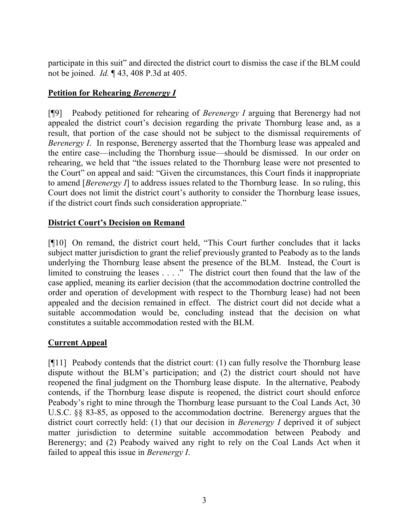participate in this suit" and directed the district court to dismiss the case if the BLM could not be joined. Id. ¶ 43, 408 P.3d at 405.

# Petition for Rehearing Berenergy I

[¶9] Peabody petitioned for rehearing of Berenergy I arguing that Berenergy had not appealed the district court's decision regarding the private Thornburg lease and, as a result, that portion of the case should not be subject to the dismissal requirements of Berenergy I. In response, Berenergy asserted that the Thornburg lease was appealed and the entire case—including the Thornburg issue—should be dismissed. In our order on rehearing, we held that "the issues related to the Thornburg lease were not presented to the Court" on appeal and said: "Given the circumstances, this Court finds it inappropriate to amend [Berenergy  $I$ ] to address issues related to the Thornburg lease. In so ruling, this Court does not limit the district court's authority to consider the Thornburg lease issues, if the district court finds such consideration appropriate."

## District Court's Decision on Remand

[¶10] On remand, the district court held, "This Court further concludes that it lacks subject matter jurisdiction to grant the relief previously granted to Peabody as to the lands underlying the Thornburg lease absent the presence of the BLM. Instead, the Court is limited to construing the leases . . . ." The district court then found that the law of the case applied, meaning its earlier decision (that the accommodation doctrine controlled the order and operation of development with respect to the Thornburg lease) had not been appealed and the decision remained in effect. The district court did not decide what a suitable accommodation would be, concluding instead that the decision on what constitutes a suitable accommodation rested with the BLM.

# Current Appeal

[¶11] Peabody contends that the district court: (1) can fully resolve the Thornburg lease dispute without the BLM's participation; and (2) the district court should not have reopened the final judgment on the Thornburg lease dispute. In the alternative, Peabody contends, if the Thornburg lease dispute is reopened, the district court should enforce Peabody's right to mine through the Thornburg lease pursuant to the Coal Lands Act, 30 U.S.C. §§ 83-85, as opposed to the accommodation doctrine. Berenergy argues that the district court correctly held: (1) that our decision in *Berenergy I* deprived it of subject matter jurisdiction to determine suitable accommodation between Peabody and Berenergy; and (2) Peabody waived any right to rely on the Coal Lands Act when it failed to appeal this issue in Berenergy I.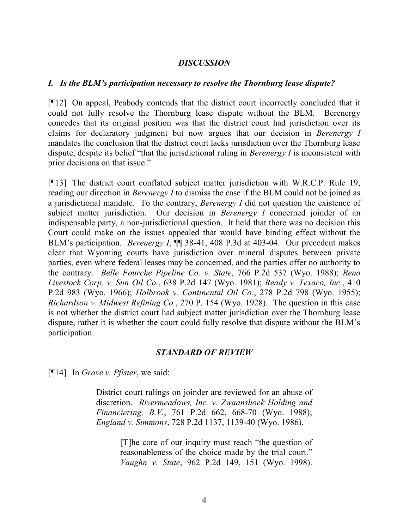#### **DISCUSSION**

#### I. Is the BLM's participation necessary to resolve the Thornburg lease dispute?

[¶12] On appeal, Peabody contends that the district court incorrectly concluded that it could not fully resolve the Thornburg lease dispute without the BLM. Berenergy concedes that its original position was that the district court had jurisdiction over its claims for declaratory judgment but now argues that our decision in Berenergy I mandates the conclusion that the district court lacks jurisdiction over the Thornburg lease dispute, despite its belief "that the jurisdictional ruling in *Berenergy I* is inconsistent with prior decisions on that issue."

[¶13] The district court conflated subject matter jurisdiction with W.R.C.P. Rule 19, reading our direction in Berenergy I to dismiss the case if the BLM could not be joined as a jurisdictional mandate. To the contrary, Berenergy I did not question the existence of subject matter jurisdiction. Our decision in Berenergy I concerned joinder of an indispensable party, a non-jurisdictional question. It held that there was no decision this Court could make on the issues appealed that would have binding effect without the BLM's participation. *Berenergy I*,  $\P$  38-41, 408 P.3d at 403-04. Our precedent makes clear that Wyoming courts have jurisdiction over mineral disputes between private parties, even where federal leases may be concerned, and the parties offer no authority to the contrary. Belle Fourche Pipeline Co. v. State, 766 P.2d 537 (Wyo. 1988); Reno Livestock Corp. v. Sun Oil Co., 638 P.2d 147 (Wyo. 1981); Ready v. Texaco, Inc., 410 P.2d 983 (Wyo. 1966); Holbrook v. Continental Oil Co., 278 P.2d 798 (Wyo. 1955); Richardson v. Midwest Refining Co., 270 P. 154 (Wyo. 1928). The question in this case is not whether the district court had subject matter jurisdiction over the Thornburg lease dispute, rather it is whether the court could fully resolve that dispute without the BLM's participation.

#### STANDARD OF REVIEW

[¶14] In *Grove v. Pfister*, we said:

District court rulings on joinder are reviewed for an abuse of discretion. Rivermeadows, Inc. v. Zwaanshoek Holding and Financiering, B.V., 761 P.2d 662, 668-70 (Wyo. 1988); England v. Simmons, 728 P.2d 1137, 1139-40 (Wyo. 1986).

> [T]he core of our inquiry must reach "the question of reasonableness of the choice made by the trial court." Vaughn v. State, 962 P.2d 149, 151 (Wyo. 1998).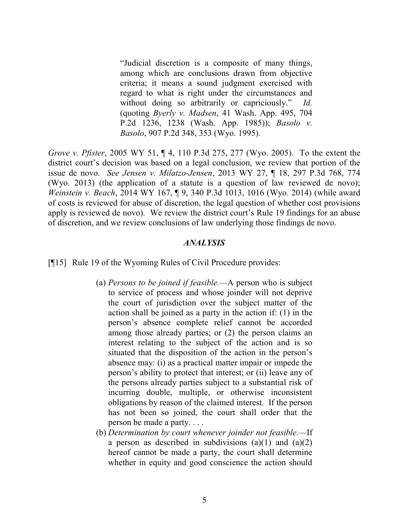"Judicial discretion is a composite of many things, among which are conclusions drawn from objective criteria; it means a sound judgment exercised with regard to what is right under the circumstances and without doing so arbitrarily or capriciously." Id. (quoting Byerly v. Madsen, 41 Wash. App. 495, 704 P.2d 1236, 1238 (Wash. App. 1985)); Basolo v. Basolo, 907 P.2d 348, 353 (Wyo. 1995).

Grove v. Pfister, 2005 WY 51, ¶ 4, 110 P.3d 275, 277 (Wyo. 2005). To the extent the district court's decision was based on a legal conclusion, we review that portion of the issue de novo. See Jensen v. Milatzo-Jensen, 2013 WY 27, ¶ 18, 297 P.3d 768, 774 (Wyo. 2013) (the application of a statute is a question of law reviewed de novo); Weinstein v. Beach, 2014 WY 167, ¶ 9, 340 P.3d 1013, 1016 (Wyo. 2014) (while award of costs is reviewed for abuse of discretion, the legal question of whether cost provisions apply is reviewed de novo). We review the district court's Rule 19 findings for an abuse of discretion, and we review conclusions of law underlying those findings de novo.

#### ANALYSIS

[¶15] Rule 19 of the Wyoming Rules of Civil Procedure provides:

- (a) Persons to be joined if feasible.—A person who is subject to service of process and whose joinder will not deprive the court of jurisdiction over the subject matter of the action shall be joined as a party in the action if: (1) in the person's absence complete relief cannot be accorded among those already parties; or (2) the person claims an interest relating to the subject of the action and is so situated that the disposition of the action in the person's absence may: (i) as a practical matter impair or impede the person's ability to protect that interest; or (ii) leave any of the persons already parties subject to a substantial risk of incurring double, multiple, or otherwise inconsistent obligations by reason of the claimed interest. If the person has not been so joined, the court shall order that the person be made a party. . . .
- (b) Determination by court whenever joinder not feasible.—If a person as described in subdivisions (a)(1) and (a)(2) hereof cannot be made a party, the court shall determine whether in equity and good conscience the action should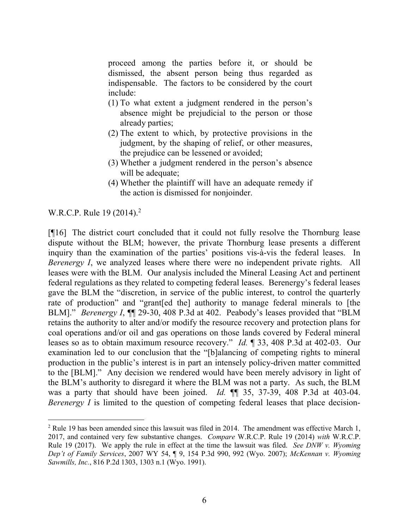proceed among the parties before it, or should be dismissed, the absent person being thus regarded as indispensable. The factors to be considered by the court include:

- (1) To what extent a judgment rendered in the person's absence might be prejudicial to the person or those already parties;
- (2) The extent to which, by protective provisions in the judgment, by the shaping of relief, or other measures, the prejudice can be lessened or avoided;
- (3) Whether a judgment rendered in the person's absence will be adequate;
- (4) Whether the plaintiff will have an adequate remedy if the action is dismissed for nonjoinder.

W.R.C.P. Rule 19 (2014).<sup>2</sup>

 $\overline{a}$ 

[¶16] The district court concluded that it could not fully resolve the Thornburg lease dispute without the BLM; however, the private Thornburg lease presents a different inquiry than the examination of the parties' positions vis-à-vis the federal leases. In Berenergy I, we analyzed leases where there were no independent private rights. All leases were with the BLM. Our analysis included the Mineral Leasing Act and pertinent federal regulations as they related to competing federal leases. Berenergy's federal leases gave the BLM the "discretion, in service of the public interest, to control the quarterly rate of production" and "grant[ed the] authority to manage federal minerals to [the BLM]." *Berenergy I*,  $\P$  29-30, 408 P.3d at 402. Peabody's leases provided that "BLM retains the authority to alter and/or modify the resource recovery and protection plans for coal operations and/or oil and gas operations on those lands covered by Federal mineral leases so as to obtain maximum resource recovery." Id. ¶ 33, 408 P.3d at 402-03. Our examination led to our conclusion that the "[b]alancing of competing rights to mineral production in the public's interest is in part an intensely policy-driven matter committed to the [BLM]." Any decision we rendered would have been merely advisory in light of the BLM's authority to disregard it where the BLM was not a party. As such, the BLM was a party that should have been joined. Id.  $\P$  135, 37-39, 408 P.3d at 403-04. Berenergy  $I$  is limited to the question of competing federal leases that place decision-

 $2$  Rule 19 has been amended since this lawsuit was filed in 2014. The amendment was effective March 1, 2017, and contained very few substantive changes. Compare W.R.C.P. Rule 19 (2014) with W.R.C.P. Rule 19 (2017). We apply the rule in effect at the time the lawsuit was filed. See DNW v. Wyoming Dep't of Family Services, 2007 WY 54, ¶ 9, 154 P.3d 990, 992 (Wyo. 2007); McKennan v. Wyoming Sawmills, Inc., 816 P.2d 1303, 1303 n.1 (Wyo. 1991).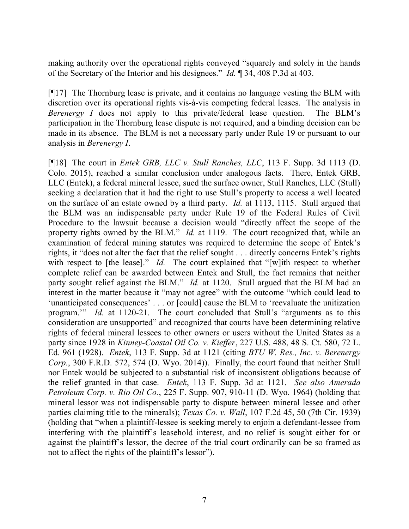making authority over the operational rights conveyed "squarely and solely in the hands of the Secretary of the Interior and his designees." Id. ¶ 34, 408 P.3d at 403.

[¶17] The Thornburg lease is private, and it contains no language vesting the BLM with discretion over its operational rights vis-à-vis competing federal leases. The analysis in Berenergy I does not apply to this private/federal lease question. The BLM's participation in the Thornburg lease dispute is not required, and a binding decision can be made in its absence. The BLM is not a necessary party under Rule 19 or pursuant to our analysis in Berenergy I.

[¶18] The court in Entek GRB, LLC v. Stull Ranches, LLC, 113 F. Supp. 3d 1113 (D. Colo. 2015), reached a similar conclusion under analogous facts. There, Entek GRB, LLC (Entek), a federal mineral lessee, sued the surface owner, Stull Ranches, LLC (Stull) seeking a declaration that it had the right to use Stull's property to access a well located on the surface of an estate owned by a third party. Id. at 1113, 1115. Stull argued that the BLM was an indispensable party under Rule 19 of the Federal Rules of Civil Procedure to the lawsuit because a decision would "directly affect the scope of the property rights owned by the BLM." *Id.* at 1119. The court recognized that, while an examination of federal mining statutes was required to determine the scope of Entek's rights, it "does not alter the fact that the relief sought . . . directly concerns Entek's rights with respect to [the lease]." Id. The court explained that "[w]ith respect to whether complete relief can be awarded between Entek and Stull, the fact remains that neither party sought relief against the BLM." *Id.* at 1120. Stull argued that the BLM had an interest in the matter because it "may not agree" with the outcome "which could lead to 'unanticipated consequences' . . . or [could] cause the BLM to 'reevaluate the unitization program.'" Id. at 1120-21. The court concluded that Stull's "arguments as to this consideration are unsupported" and recognized that courts have been determining relative rights of federal mineral lessees to other owners or users without the United States as a party since 1928 in Kinney-Coastal Oil Co. v. Kieffer, 227 U.S. 488, 48 S. Ct. 580, 72 L. Ed. 961 (1928). Entek, 113 F. Supp. 3d at 1121 (citing BTU W. Res., Inc. v. Berenergy Corp., 300 F.R.D. 572, 574 (D. Wyo. 2014)). Finally, the court found that neither Stull nor Entek would be subjected to a substantial risk of inconsistent obligations because of the relief granted in that case. Entek, 113 F. Supp. 3d at 1121. See also Amerada Petroleum Corp. v. Rio Oil Co., 225 F. Supp. 907, 910-11 (D. Wyo. 1964) (holding that mineral lessor was not indispensable party to dispute between mineral lessee and other parties claiming title to the minerals); Texas Co. v. Wall, 107 F.2d 45, 50 (7th Cir. 1939) (holding that "when a plaintiff-lessee is seeking merely to enjoin a defendant-lessee from interfering with the plaintiff's leasehold interest, and no relief is sought either for or against the plaintiff's lessor, the decree of the trial court ordinarily can be so framed as not to affect the rights of the plaintiff's lessor").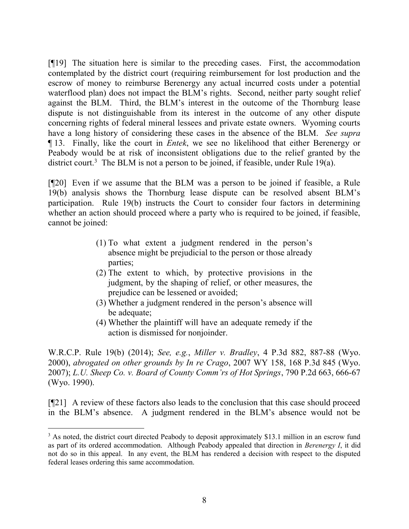[¶19] The situation here is similar to the preceding cases. First, the accommodation contemplated by the district court (requiring reimbursement for lost production and the escrow of money to reimburse Berenergy any actual incurred costs under a potential waterflood plan) does not impact the BLM's rights. Second, neither party sought relief against the BLM. Third, the BLM's interest in the outcome of the Thornburg lease dispute is not distinguishable from its interest in the outcome of any other dispute concerning rights of federal mineral lessees and private estate owners. Wyoming courts have a long history of considering these cases in the absence of the BLM. See supra ¶ 13. Finally, like the court in Entek, we see no likelihood that either Berenergy or Peabody would be at risk of inconsistent obligations due to the relief granted by the district court.<sup>3</sup> The BLM is not a person to be joined, if feasible, under Rule 19 $(a)$ .

[¶20] Even if we assume that the BLM was a person to be joined if feasible, a Rule 19(b) analysis shows the Thornburg lease dispute can be resolved absent BLM's participation. Rule 19(b) instructs the Court to consider four factors in determining whether an action should proceed where a party who is required to be joined, if feasible, cannot be joined:

- (1) To what extent a judgment rendered in the person's absence might be prejudicial to the person or those already parties;
- (2) The extent to which, by protective provisions in the judgment, by the shaping of relief, or other measures, the prejudice can be lessened or avoided;
- (3) Whether a judgment rendered in the person's absence will be adequate;
- (4) Whether the plaintiff will have an adequate remedy if the action is dismissed for nonjoinder.

W.R.C.P. Rule 19(b) (2014); See, e.g., Miller v. Bradley, 4 P.3d 882, 887-88 (Wyo. 2000), abrogated on other grounds by In re Crago, 2007 WY 158, 168 P.3d 845 (Wyo. 2007); L.U. Sheep Co. v. Board of County Comm'rs of Hot Springs, 790 P.2d 663, 666-67 (Wyo. 1990).

[¶21] A review of these factors also leads to the conclusion that this case should proceed in the BLM's absence. A judgment rendered in the BLM's absence would not be

<sup>&</sup>lt;sup>3</sup> As noted, the district court directed Peabody to deposit approximately \$13.1 million in an escrow fund as part of its ordered accommodation. Although Peabody appealed that direction in Berenergy I, it did not do so in this appeal. In any event, the BLM has rendered a decision with respect to the disputed federal leases ordering this same accommodation.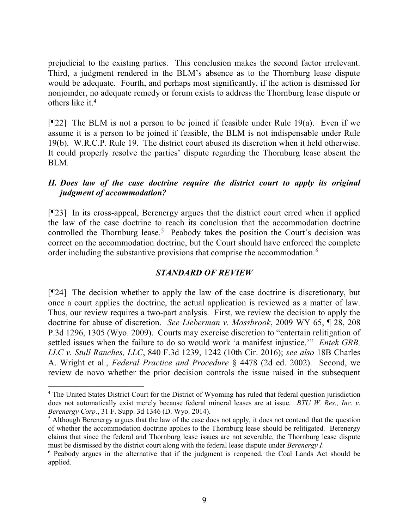prejudicial to the existing parties. This conclusion makes the second factor irrelevant. Third, a judgment rendered in the BLM's absence as to the Thornburg lease dispute would be adequate. Fourth, and perhaps most significantly, if the action is dismissed for nonjoinder, no adequate remedy or forum exists to address the Thornburg lease dispute or others like it.<sup>4</sup>

 $[922]$  The BLM is not a person to be joined if feasible under Rule 19(a). Even if we assume it is a person to be joined if feasible, the BLM is not indispensable under Rule 19(b). W.R.C.P. Rule 19. The district court abused its discretion when it held otherwise. It could properly resolve the parties' dispute regarding the Thornburg lease absent the BLM.

## II. Does law of the case doctrine require the district court to apply its original judgment of accommodation?

[¶23] In its cross-appeal, Berenergy argues that the district court erred when it applied the law of the case doctrine to reach its conclusion that the accommodation doctrine controlled the Thornburg lease.<sup>5</sup> Peabody takes the position the Court's decision was correct on the accommodation doctrine, but the Court should have enforced the complete order including the substantive provisions that comprise the accommodation.<sup>6</sup>

### STANDARD OF REVIEW

[¶24] The decision whether to apply the law of the case doctrine is discretionary, but once a court applies the doctrine, the actual application is reviewed as a matter of law. Thus, our review requires a two-part analysis. First, we review the decision to apply the doctrine for abuse of discretion. See Lieberman v. Mossbrook, 2009 WY 65, ¶ 28, 208 P.3d 1296, 1305 (Wyo. 2009). Courts may exercise discretion to "entertain relitigation of settled issues when the failure to do so would work 'a manifest injustice.'" Entek GRB, LLC v. Stull Ranches, LLC, 840 F.3d 1239, 1242 (10th Cir. 2016); see also 18B Charles A. Wright et al., Federal Practice and Procedure § 4478 (2d ed. 2002). Second, we review de novo whether the prior decision controls the issue raised in the subsequent

 $\overline{a}$ 

<sup>&</sup>lt;sup>4</sup> The United States District Court for the District of Wyoming has ruled that federal question jurisdiction does not automatically exist merely because federal mineral leases are at issue. BTU W. Res., Inc. v. Berenergy Corp., 31 F. Supp. 3d 1346 (D. Wyo. 2014).

<sup>&</sup>lt;sup>5</sup> Although Berenergy argues that the law of the case does not apply, it does not contend that the question of whether the accommodation doctrine applies to the Thornburg lease should be relitigated. Berenergy claims that since the federal and Thornburg lease issues are not severable, the Thornburg lease dispute must be dismissed by the district court along with the federal lease dispute under *Berenergy I*.

<sup>&</sup>lt;sup>6</sup> Peabody argues in the alternative that if the judgment is reopened, the Coal Lands Act should be applied.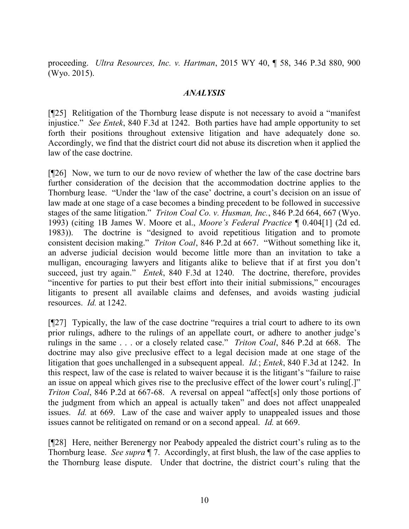proceeding. Ultra Resources, Inc. v. Hartman, 2015 WY 40, ¶ 58, 346 P.3d 880, 900 (Wyo. 2015).

#### ANALYSIS

[¶25] Relitigation of the Thornburg lease dispute is not necessary to avoid a "manifest injustice." See Entek, 840 F.3d at 1242. Both parties have had ample opportunity to set forth their positions throughout extensive litigation and have adequately done so. Accordingly, we find that the district court did not abuse its discretion when it applied the law of the case doctrine.

[¶26] Now, we turn to our de novo review of whether the law of the case doctrine bars further consideration of the decision that the accommodation doctrine applies to the Thornburg lease. "Under the 'law of the case' doctrine, a court's decision on an issue of law made at one stage of a case becomes a binding precedent to be followed in successive stages of the same litigation." Triton Coal Co. v. Husman, Inc., 846 P.2d 664, 667 (Wyo. 1993) (citing 1B James W. Moore et al., Moore's Federal Practice ¶ 0.404[1] (2d ed. 1983)). The doctrine is "designed to avoid repetitious litigation and to promote consistent decision making." Triton Coal, 846 P.2d at 667. "Without something like it, an adverse judicial decision would become little more than an invitation to take a mulligan, encouraging lawyers and litigants alike to believe that if at first you don't succeed, just try again." Entek, 840 F.3d at 1240. The doctrine, therefore, provides "incentive for parties to put their best effort into their initial submissions," encourages litigants to present all available claims and defenses, and avoids wasting judicial resources. Id. at 1242.

[¶27] Typically, the law of the case doctrine "requires a trial court to adhere to its own prior rulings, adhere to the rulings of an appellate court, or adhere to another judge's rulings in the same . . . or a closely related case." *Triton Coal*, 846 P.2d at 668. The doctrine may also give preclusive effect to a legal decision made at one stage of the litigation that goes unchallenged in a subsequent appeal. *Id.*; *Entek*, 840 F.3d at 1242. In this respect, law of the case is related to waiver because it is the litigant's "failure to raise an issue on appeal which gives rise to the preclusive effect of the lower court's ruling[.]" Triton Coal, 846 P.2d at 667-68. A reversal on appeal "affect[s] only those portions of the judgment from which an appeal is actually taken" and does not affect unappealed issues. Id. at 669. Law of the case and waiver apply to unappealed issues and those issues cannot be relitigated on remand or on a second appeal. Id. at 669.

[¶28] Here, neither Berenergy nor Peabody appealed the district court's ruling as to the Thornburg lease. See supra  $\P$  7. Accordingly, at first blush, the law of the case applies to the Thornburg lease dispute. Under that doctrine, the district court's ruling that the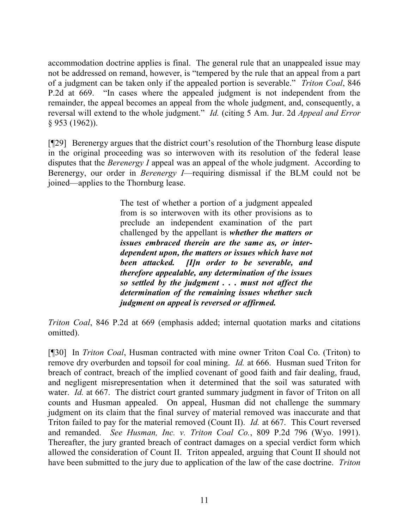accommodation doctrine applies is final. The general rule that an unappealed issue may not be addressed on remand, however, is "tempered by the rule that an appeal from a part of a judgment can be taken only if the appealed portion is severable." Triton Coal, 846 P.2d at 669. "In cases where the appealed judgment is not independent from the remainder, the appeal becomes an appeal from the whole judgment, and, consequently, a reversal will extend to the whole judgment." Id. (citing 5 Am. Jur. 2d *Appeal and Error* § 953 (1962)).

[¶29] Berenergy argues that the district court's resolution of the Thornburg lease dispute in the original proceeding was so interwoven with its resolution of the federal lease disputes that the *Berenergy I* appeal was an appeal of the whole judgment. According to Berenergy, our order in Berenergy I—requiring dismissal if the BLM could not be joined—applies to the Thornburg lease.

> The test of whether a portion of a judgment appealed from is so interwoven with its other provisions as to preclude an independent examination of the part challenged by the appellant is whether the matters or issues embraced therein are the same as, or interdependent upon, the matters or issues which have not been attacked. [I]n order to be severable, and therefore appealable, any determination of the issues so settled by the judgment . . . must not affect the determination of the remaining issues whether such judgment on appeal is reversed or affirmed.

Triton Coal, 846 P.2d at 669 (emphasis added; internal quotation marks and citations omitted).

[¶30] In *Triton Coal*, Husman contracted with mine owner Triton Coal Co. (Triton) to remove dry overburden and topsoil for coal mining. Id. at 666. Husman sued Triton for breach of contract, breach of the implied covenant of good faith and fair dealing, fraud, and negligent misrepresentation when it determined that the soil was saturated with water. *Id.* at 667. The district court granted summary judgment in favor of Triton on all counts and Husman appealed. On appeal, Husman did not challenge the summary judgment on its claim that the final survey of material removed was inaccurate and that Triton failed to pay for the material removed (Count II). Id. at 667. This Court reversed and remanded. See Husman, Inc. v. Triton Coal Co., 809 P.2d 796 (Wyo. 1991). Thereafter, the jury granted breach of contract damages on a special verdict form which allowed the consideration of Count II. Triton appealed, arguing that Count II should not have been submitted to the jury due to application of the law of the case doctrine. Triton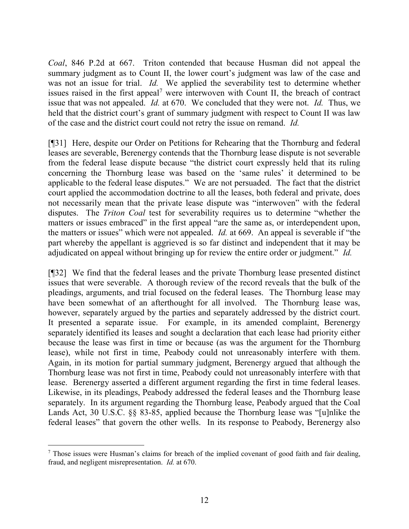Coal, 846 P.2d at 667. Triton contended that because Husman did not appeal the summary judgment as to Count II, the lower court's judgment was law of the case and was not an issue for trial. *Id.* We applied the severability test to determine whether issues raised in the first appeal<sup>7</sup> were interwoven with Count II, the breach of contract issue that was not appealed. Id. at 670. We concluded that they were not. Id. Thus, we held that the district court's grant of summary judgment with respect to Count II was law of the case and the district court could not retry the issue on remand. Id.

[¶31] Here, despite our Order on Petitions for Rehearing that the Thornburg and federal leases are severable, Berenergy contends that the Thornburg lease dispute is not severable from the federal lease dispute because "the district court expressly held that its ruling concerning the Thornburg lease was based on the 'same rules' it determined to be applicable to the federal lease disputes." We are not persuaded. The fact that the district court applied the accommodation doctrine to all the leases, both federal and private, does not necessarily mean that the private lease dispute was "interwoven" with the federal disputes. The Triton Coal test for severability requires us to determine "whether the matters or issues embraced" in the first appeal "are the same as, or interdependent upon, the matters or issues" which were not appealed. *Id.* at 669. An appeal is severable if "the part whereby the appellant is aggrieved is so far distinct and independent that it may be adjudicated on appeal without bringing up for review the entire order or judgment." Id.

[¶32] We find that the federal leases and the private Thornburg lease presented distinct issues that were severable. A thorough review of the record reveals that the bulk of the pleadings, arguments, and trial focused on the federal leases. The Thornburg lease may have been somewhat of an afterthought for all involved. The Thornburg lease was, however, separately argued by the parties and separately addressed by the district court. It presented a separate issue. For example, in its amended complaint, Berenergy separately identified its leases and sought a declaration that each lease had priority either because the lease was first in time or because (as was the argument for the Thornburg lease), while not first in time, Peabody could not unreasonably interfere with them. Again, in its motion for partial summary judgment, Berenergy argued that although the Thornburg lease was not first in time, Peabody could not unreasonably interfere with that lease. Berenergy asserted a different argument regarding the first in time federal leases. Likewise, in its pleadings, Peabody addressed the federal leases and the Thornburg lease separately. In its argument regarding the Thornburg lease, Peabody argued that the Coal Lands Act, 30 U.S.C. §§ 83-85, applied because the Thornburg lease was "[u]nlike the federal leases" that govern the other wells. In its response to Peabody, Berenergy also

 $\overline{a}$  $<sup>7</sup>$  Those issues were Husman's claims for breach of the implied covenant of good faith and fair dealing,</sup> fraud, and negligent misrepresentation. Id. at 670.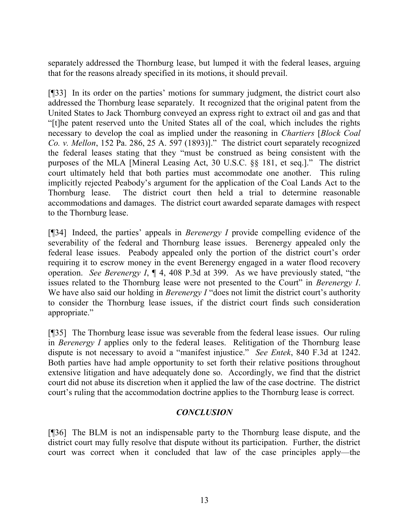separately addressed the Thornburg lease, but lumped it with the federal leases, arguing that for the reasons already specified in its motions, it should prevail.

[¶33] In its order on the parties' motions for summary judgment, the district court also addressed the Thornburg lease separately. It recognized that the original patent from the United States to Jack Thornburg conveyed an express right to extract oil and gas and that "[t]he patent reserved unto the United States all of the coal, which includes the rights necessary to develop the coal as implied under the reasoning in Chartiers [Block Coal Co. v. Mellon, 152 Pa. 286, 25 A. 597 (1893)]." The district court separately recognized the federal leases stating that they "must be construed as being consistent with the purposes of the MLA [Mineral Leasing Act, 30 U.S.C. §§ 181, et seq.]." The district court ultimately held that both parties must accommodate one another. This ruling implicitly rejected Peabody's argument for the application of the Coal Lands Act to the Thornburg lease. The district court then held a trial to determine reasonable accommodations and damages. The district court awarded separate damages with respect to the Thornburg lease.

[ $[$ ]34] Indeed, the parties' appeals in *Berenergy I* provide compelling evidence of the severability of the federal and Thornburg lease issues. Berenergy appealed only the federal lease issues. Peabody appealed only the portion of the district court's order requiring it to escrow money in the event Berenergy engaged in a water flood recovery operation. See Berenergy I, ¶ 4, 408 P.3d at 399. As we have previously stated, "the issues related to the Thornburg lease were not presented to the Court" in Berenergy I. We have also said our holding in *Berenergy I* "does not limit the district court's authority to consider the Thornburg lease issues, if the district court finds such consideration appropriate."

[¶35] The Thornburg lease issue was severable from the federal lease issues. Our ruling in Berenergy I applies only to the federal leases. Relitigation of the Thornburg lease dispute is not necessary to avoid a "manifest injustice." See Entek, 840 F.3d at 1242. Both parties have had ample opportunity to set forth their relative positions throughout extensive litigation and have adequately done so. Accordingly, we find that the district court did not abuse its discretion when it applied the law of the case doctrine. The district court's ruling that the accommodation doctrine applies to the Thornburg lease is correct.

### **CONCLUSION**

[¶36] The BLM is not an indispensable party to the Thornburg lease dispute, and the district court may fully resolve that dispute without its participation. Further, the district court was correct when it concluded that law of the case principles apply—the